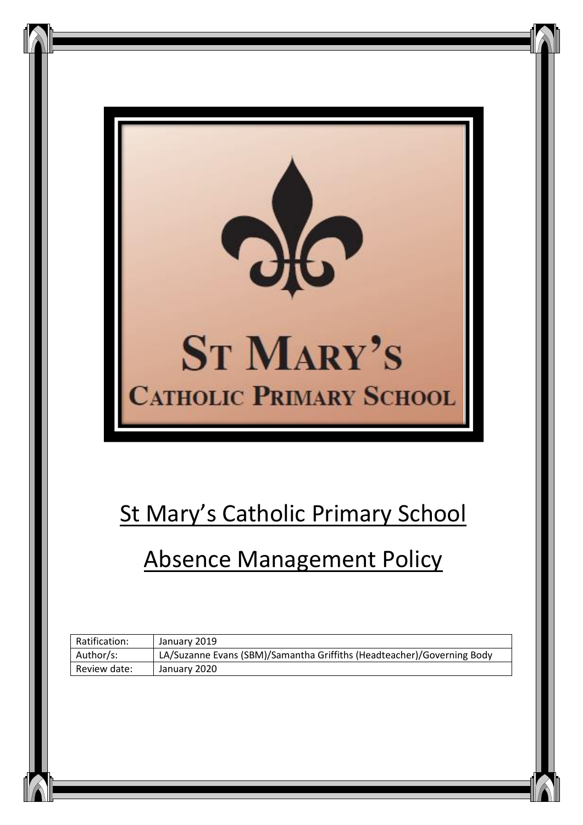

# St Mary's Catholic Primary School

# Absence Management Policy

| Ratification: | January 2019                                                           |
|---------------|------------------------------------------------------------------------|
| Author/s:     | LA/Suzanne Evans (SBM)/Samantha Griffiths (Headteacher)/Governing Body |
| Review date:  | January 2020                                                           |

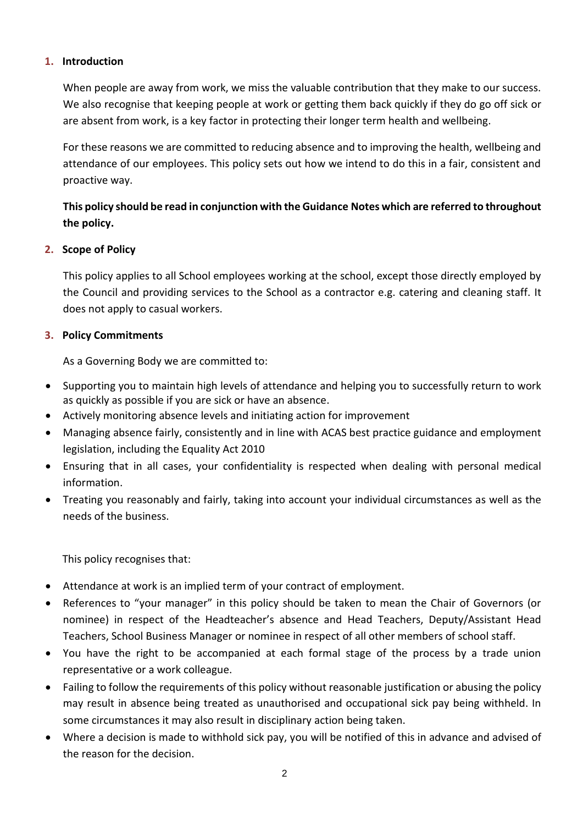#### **1. Introduction**

When people are away from work, we miss the valuable contribution that they make to our success. We also recognise that keeping people at work or getting them back quickly if they do go off sick or are absent from work, is a key factor in protecting their longer term health and wellbeing.

For these reasons we are committed to reducing absence and to improving the health, wellbeing and attendance of our employees. This policy sets out how we intend to do this in a fair, consistent and proactive way.

# **This policy should be read in conjunction with the Guidance Notes which are referred to throughout the policy.**

#### **2. Scope of Policy**

This policy applies to all School employees working at the school, except those directly employed by the Council and providing services to the School as a contractor e.g. catering and cleaning staff. It does not apply to casual workers.

#### **3. Policy Commitments**

As a Governing Body we are committed to:

- Supporting you to maintain high levels of attendance and helping you to successfully return to work as quickly as possible if you are sick or have an absence.
- Actively monitoring absence levels and initiating action for improvement
- Managing absence fairly, consistently and in line with ACAS best practice guidance and employment legislation, including the Equality Act 2010
- Ensuring that in all cases, your confidentiality is respected when dealing with personal medical information.
- Treating you reasonably and fairly, taking into account your individual circumstances as well as the needs of the business.

This policy recognises that:

- Attendance at work is an implied term of your contract of employment.
- References to "your manager" in this policy should be taken to mean the Chair of Governors (or nominee) in respect of the Headteacher's absence and Head Teachers, Deputy/Assistant Head Teachers, School Business Manager or nominee in respect of all other members of school staff.
- You have the right to be accompanied at each formal stage of the process by a trade union representative or a work colleague.
- Failing to follow the requirements of this policy without reasonable justification or abusing the policy may result in absence being treated as unauthorised and occupational sick pay being withheld. In some circumstances it may also result in disciplinary action being taken.
- Where a decision is made to withhold sick pay, you will be notified of this in advance and advised of the reason for the decision.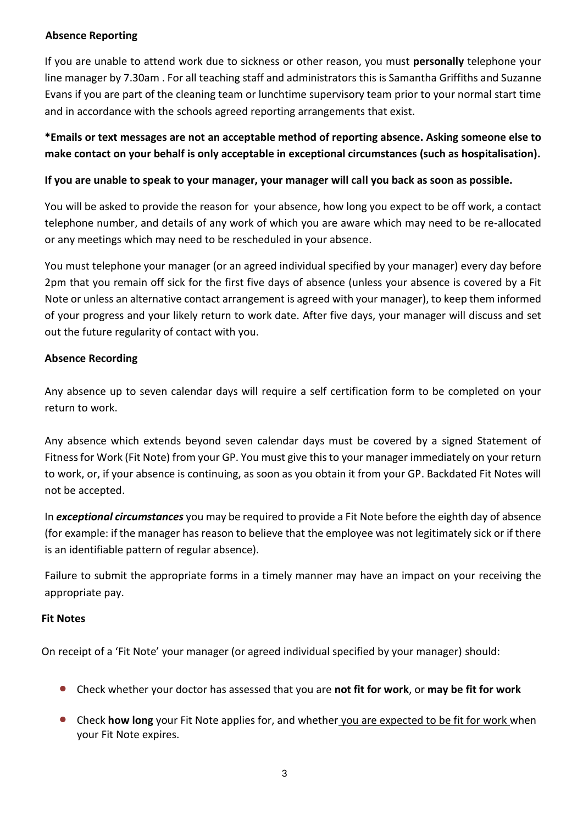#### **Absence Reporting**

If you are unable to attend work due to sickness or other reason, you must **personally** telephone your line manager by 7.30am . For all teaching staff and administrators this is Samantha Griffiths and Suzanne Evans if you are part of the cleaning team or lunchtime supervisory team prior to your normal start time and in accordance with the schools agreed reporting arrangements that exist.

## **\*Emails or text messages are not an acceptable method of reporting absence. Asking someone else to make contact on your behalf is only acceptable in exceptional circumstances (such as hospitalisation).**

#### **If you are unable to speak to your manager, your manager will call you back as soon as possible.**

You will be asked to provide the reason for your absence, how long you expect to be off work, a contact telephone number, and details of any work of which you are aware which may need to be re-allocated or any meetings which may need to be rescheduled in your absence.

You must telephone your manager (or an agreed individual specified by your manager) every day before 2pm that you remain off sick for the first five days of absence (unless your absence is covered by a Fit Note or unless an alternative contact arrangement is agreed with your manager), to keep them informed of your progress and your likely return to work date. After five days, your manager will discuss and set out the future regularity of contact with you.

#### **Absence Recording**

Any absence up to seven calendar days will require a self certification form to be completed on your return to work.

Any absence which extends beyond seven calendar days must be covered by a signed Statement of Fitness for Work (Fit Note) from your GP. You must give this to your manager immediately on your return to work, or, if your absence is continuing, as soon as you obtain it from your GP. Backdated Fit Notes will not be accepted.

In *exceptional circumstances* you may be required to provide a Fit Note before the eighth day of absence (for example: if the manager has reason to believe that the employee was not legitimately sick or if there is an identifiable pattern of regular absence).

Failure to submit the appropriate forms in a timely manner may have an impact on your receiving the appropriate pay.

#### **Fit Notes**

On receipt of a 'Fit Note' your manager (or agreed individual specified by your manager) should:

- Check whether your doctor has assessed that you are **not fit for work**, or **may be fit for work**
- Check **how long** your Fit Note applies for, and whether you are expected to be fit for work when your Fit Note expires.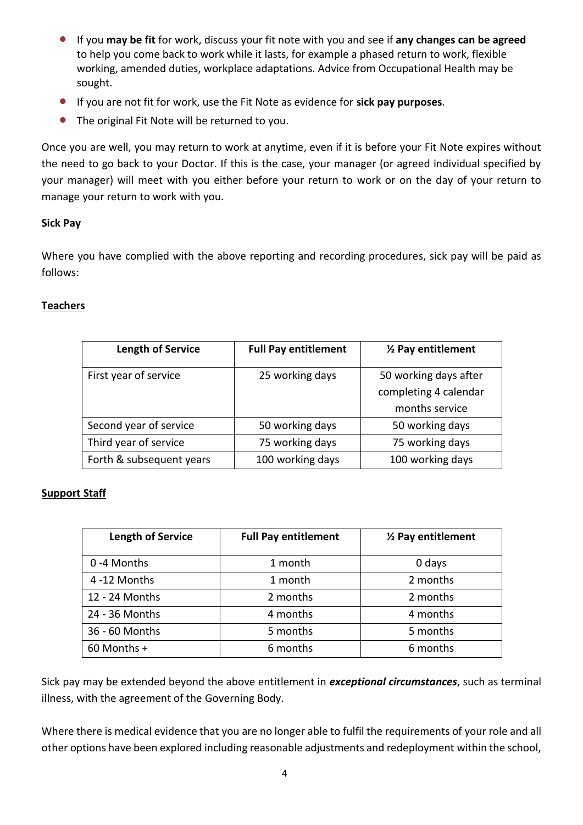- If you **may be fit** for work, discuss your fit note with you and see if **any changes can be agreed**  to help you come back to work while it lasts, for example a phased return to work, flexible working, amended duties, workplace adaptations. Advice from Occupational Health may be sought.
- If you are not fit for work, use the Fit Note as evidence for **sick pay purposes**.
- The original Fit Note will be returned to you.

Once you are well, you may return to work at anytime, even if it is before your Fit Note expires without the need to go back to your Doctor. If this is the case, your manager (or agreed individual specified by your manager) will meet with you either before your return to work or on the day of your return to manage your return to work with you.

#### **Sick Pay**

Where you have complied with the above reporting and recording procedures, sick pay will be paid as follows:

#### **Teachers**

| <b>Length of Service</b> | <b>Full Pay entitlement</b> | 1/2 Pay entitlement   |  |
|--------------------------|-----------------------------|-----------------------|--|
| First year of service    | 25 working days             | 50 working days after |  |
|                          |                             | completing 4 calendar |  |
|                          |                             | months service        |  |
| Second year of service   | 50 working days             | 50 working days       |  |
| Third year of service    | 75 working days             | 75 working days       |  |
| Forth & subsequent years | 100 working days            | 100 working days      |  |

#### **Support Staff**

| <b>Length of Service</b> | <b>Full Pay entitlement</b> | 1/ <sub>2</sub> Pay entitlement |
|--------------------------|-----------------------------|---------------------------------|
| 0 -4 Months              | 1 month                     | 0 days                          |
| 4-12 Months              | 1 month                     | 2 months                        |
| 12 - 24 Months           | 2 months                    | 2 months                        |
| 24 - 36 Months           | 4 months                    | 4 months                        |
| 36 - 60 Months           | 5 months                    | 5 months                        |
| 60 Months +              | 6 months                    | 6 months                        |

Sick pay may be extended beyond the above entitlement in *exceptional circumstances*, such as terminal illness, with the agreement of the Governing Body.

Where there is medical evidence that you are no longer able to fulfil the requirements of your role and all other options have been explored including reasonable adjustments and redeployment within the school,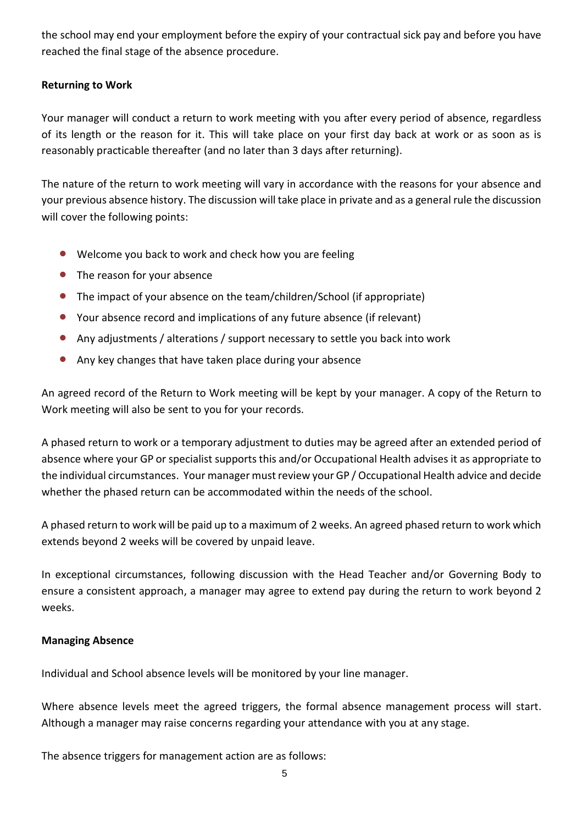the school may end your employment before the expiry of your contractual sick pay and before you have reached the final stage of the absence procedure.

#### **Returning to Work**

Your manager will conduct a return to work meeting with you after every period of absence, regardless of its length or the reason for it. This will take place on your first day back at work or as soon as is reasonably practicable thereafter (and no later than 3 days after returning).

The nature of the return to work meeting will vary in accordance with the reasons for your absence and your previous absence history. The discussion will take place in private and as a general rule the discussion will cover the following points:

- Welcome you back to work and check how you are feeling
- The reason for your absence
- The impact of your absence on the team/children/School (if appropriate)
- Your absence record and implications of any future absence (if relevant)
- Any adjustments / alterations / support necessary to settle you back into work
- Any key changes that have taken place during your absence

An agreed record of the Return to Work meeting will be kept by your manager. A copy of the Return to Work meeting will also be sent to you for your records.

A phased return to work or a temporary adjustment to duties may be agreed after an extended period of absence where your GP or specialist supports this and/or Occupational Health advises it as appropriate to the individual circumstances. Your manager must review your GP / Occupational Health advice and decide whether the phased return can be accommodated within the needs of the school.

A phased return to work will be paid up to a maximum of 2 weeks. An agreed phased return to work which extends beyond 2 weeks will be covered by unpaid leave.

In exceptional circumstances, following discussion with the Head Teacher and/or Governing Body to ensure a consistent approach, a manager may agree to extend pay during the return to work beyond 2 weeks.

#### **Managing Absence**

Individual and School absence levels will be monitored by your line manager.

Where absence levels meet the agreed triggers, the formal absence management process will start. Although a manager may raise concerns regarding your attendance with you at any stage.

The absence triggers for management action are as follows: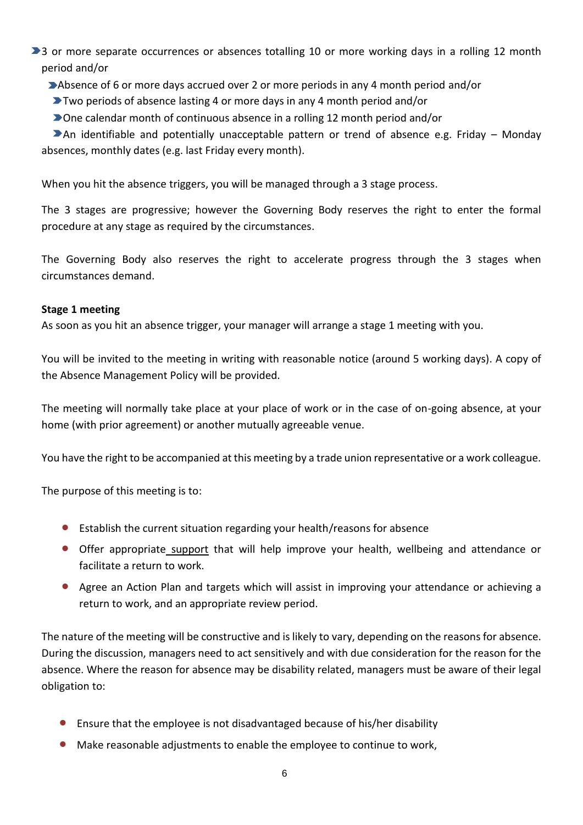▶ 3 or more separate occurrences or absences totalling 10 or more working days in a rolling 12 month period and/or

- Absence of 6 or more days accrued over 2 or more periods in any 4 month period and/or
- ▶Two periods of absence lasting 4 or more days in any 4 month period and/or
- One calendar month of continuous absence in a rolling 12 month period and/or

 $\blacktriangleright$  An identifiable and potentially unacceptable pattern or trend of absence e.g. Friday – Monday absences, monthly dates (e.g. last Friday every month).

When you hit the absence triggers, you will be managed through a 3 stage process.

The 3 stages are progressive; however the Governing Body reserves the right to enter the formal procedure at any stage as required by the circumstances.

The Governing Body also reserves the right to accelerate progress through the 3 stages when circumstances demand.

#### **Stage 1 meeting**

As soon as you hit an absence trigger, your manager will arrange a stage 1 meeting with you.

You will be invited to the meeting in writing with reasonable notice (around 5 working days). A copy of the Absence Management Policy will be provided.

The meeting will normally take place at your place of work or in the case of on-going absence, at your home (with prior agreement) or another mutually agreeable venue.

You have the right to be accompanied at this meeting by a trade union representative or a work colleague.

The purpose of this meeting is to:

- Establish the current situation regarding your health/reasons for absence
- Offer appropriate [support](#page-10-0) that will help improve your health, wellbeing and attendance or facilitate a return to work.
- Agree an Action Plan and targets which will assist in improving your attendance or achieving a return to work, and an appropriate review period.

The nature of the meeting will be constructive and is likely to vary, depending on the reasons for absence. During the discussion, managers need to act sensitively and with due consideration for the reason for the absence. Where the reason for absence may be disability related, managers must be aware of their legal obligation to:

- Ensure that the employee is not disadvantaged because of his/her disability
- Make reasonable adjustments to enable the employee to continue to work,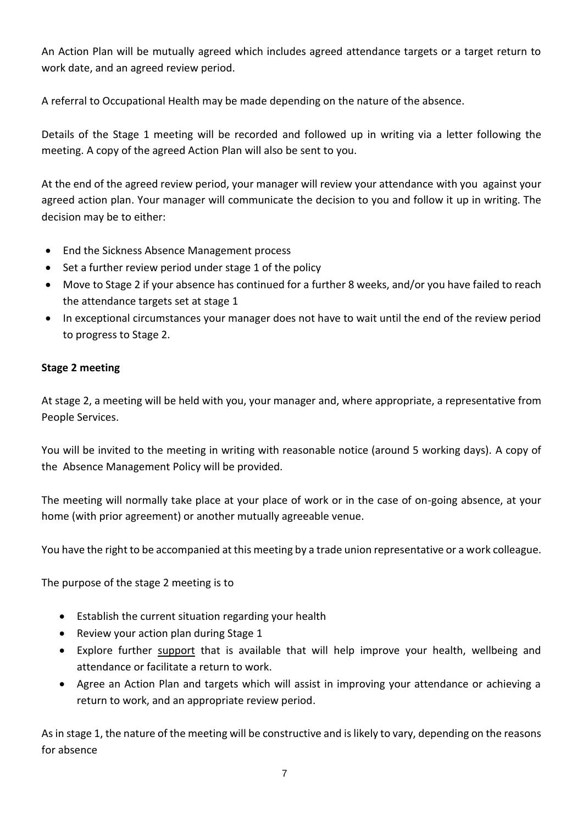An Action Plan will be mutually agreed which includes agreed attendance targets or a target return to work date, and an agreed review period.

A referral to Occupational Health may be made depending on the nature of the absence.

Details of the Stage 1 meeting will be recorded and followed up in writing via a letter following the meeting. A copy of the agreed Action Plan will also be sent to you.

At the end of the agreed review period, your manager will review your attendance with you against your agreed action plan. Your manager will communicate the decision to you and follow it up in writing. The decision may be to either:

- End the Sickness Absence Management process
- Set a further review period under stage 1 of the policy
- Move to Stage 2 if your absence has continued for a further 8 weeks, and/or you have failed to reach the attendance targets set at stage 1
- In exceptional circumstances your manager does not have to wait until the end of the review period to progress to Stage 2.

#### **Stage 2 meeting**

At stage 2, a meeting will be held with you, your manager and, where appropriate, a representative from People Services.

You will be invited to the meeting in writing with reasonable notice (around 5 working days). A copy of the Absence Management Policy will be provided.

The meeting will normally take place at your place of work or in the case of on-going absence, at your home (with prior agreement) or another mutually agreeable venue.

You have the right to be accompanied at this meeting by a trade union representative or a work colleague.

The purpose of the stage 2 meeting is to

- Establish the current situation regarding your health
- Review your action plan during Stage 1
- Explore further [support](#page-10-0) that is available that will help improve your health, wellbeing and attendance or facilitate a return to work.
- Agree an Action Plan and targets which will assist in improving your attendance or achieving a return to work, and an appropriate review period.

As in stage 1, the nature of the meeting will be constructive and is likely to vary, depending on the reasons for absence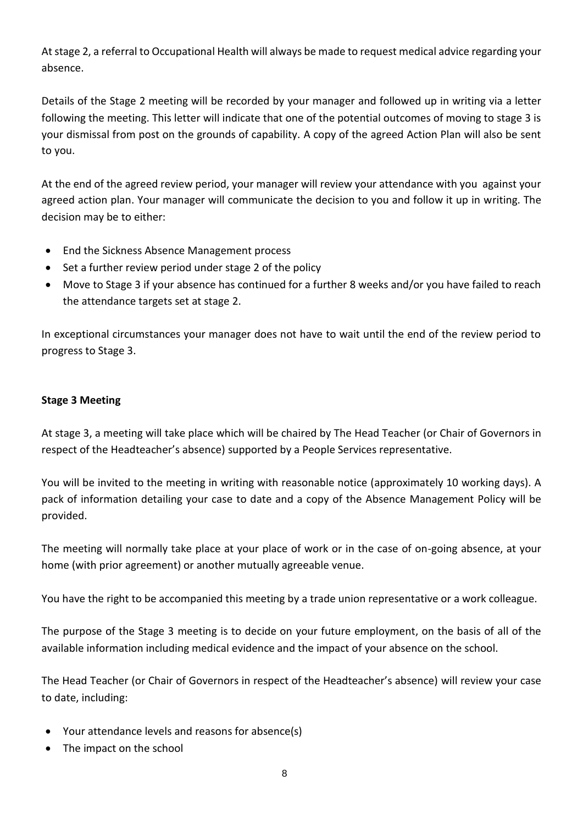At stage 2, a referral to Occupational Health will always be made to request medical advice regarding your absence.

Details of the Stage 2 meeting will be recorded by your manager and followed up in writing via a letter following the meeting. This letter will indicate that one of the potential outcomes of moving to stage 3 is your dismissal from post on the grounds of capability. A copy of the agreed Action Plan will also be sent to you.

At the end of the agreed review period, your manager will review your attendance with you against your agreed action plan. Your manager will communicate the decision to you and follow it up in writing. The decision may be to either:

- End the Sickness Absence Management process
- Set a further review period under stage 2 of the policy
- Move to Stage 3 if your absence has continued for a further 8 weeks and/or you have failed to reach the attendance targets set at stage 2.

In exceptional circumstances your manager does not have to wait until the end of the review period to progress to Stage 3.

#### **Stage 3 Meeting**

At stage 3, a meeting will take place which will be chaired by The Head Teacher (or Chair of Governors in respect of the Headteacher's absence) supported by a People Services representative.

You will be invited to the meeting in writing with reasonable notice (approximately 10 working days). A pack of information detailing your case to date and a copy of the Absence Management Policy will be provided.

The meeting will normally take place at your place of work or in the case of on-going absence, at your home (with prior agreement) or another mutually agreeable venue.

You have the right to be accompanied this meeting by a trade union representative or a work colleague.

The purpose of the Stage 3 meeting is to decide on your future employment, on the basis of all of the available information including medical evidence and the impact of your absence on the school.

The Head Teacher (or Chair of Governors in respect of the Headteacher's absence) will review your case to date, including:

- Your attendance levels and reasons for absence(s)
- The impact on the school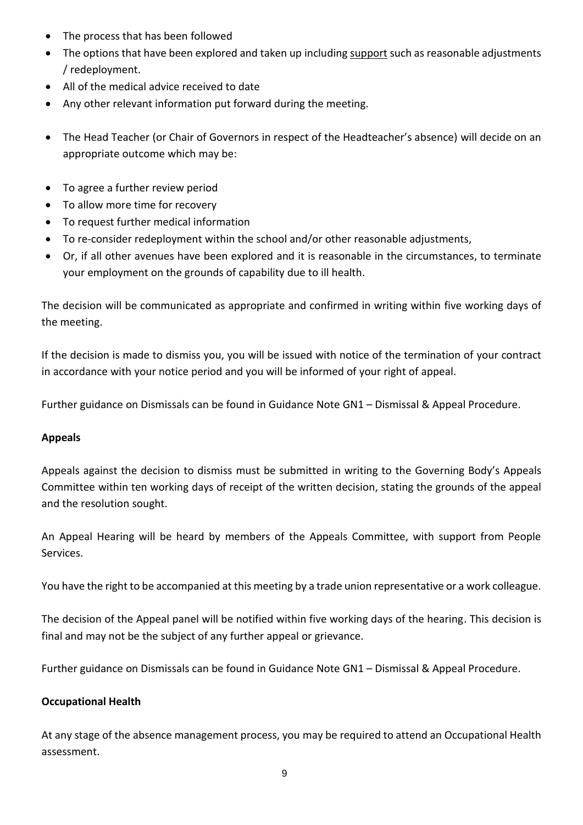- The process that has been followed
- The options that have been explored and taken up includin[g support](#page-10-0) such as reasonable adjustments / redeployment.
- All of the medical advice received to date
- Any other relevant information put forward during the meeting.
- The Head Teacher (or Chair of Governors in respect of the Headteacher's absence) will decide on an appropriate outcome which may be:
- To agree a further review period
- To allow more time for recovery
- To request further medical information
- To re-consider redeployment within the school and/or other reasonable adjustments,
- Or, if all other avenues have been explored and it is reasonable in the circumstances, to terminate your employment on the grounds of capability due to ill health.

The decision will be communicated as appropriate and confirmed in writing within five working days of the meeting.

If the decision is made to dismiss you, you will be issued with notice of the termination of your contract in accordance with your notice period and you will be informed of your right of appeal.

Further guidance on Dismissals can be found in Guidance Note GN1 – Dismissal & Appeal Procedure.

#### **Appeals**

Appeals against the decision to dismiss must be submitted in writing to the Governing Body's Appeals Committee within ten working days of receipt of the written decision, stating the grounds of the appeal and the resolution sought.

An Appeal Hearing will be heard by members of the Appeals Committee, with support from People Services.

You have the right to be accompanied at this meeting by a trade union representative or a work colleague.

The decision of the Appeal panel will be notified within five working days of the hearing. This decision is final and may not be the subject of any further appeal or grievance.

Further guidance on Dismissals can be found in Guidance Note GN1 – Dismissal & Appeal Procedure.

#### **Occupational Health**

At any stage of the absence management process, you may be required to attend an Occupational Health assessment.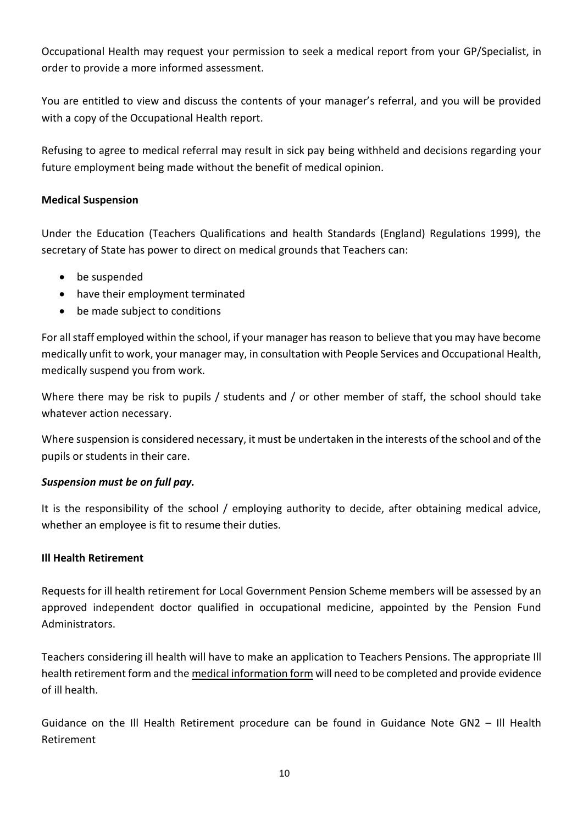Occupational Health may request your permission to seek a medical report from your GP/Specialist, in order to provide a more informed assessment.

You are entitled to view and discuss the contents of your manager's referral, and you will be provided with a copy of the Occupational Health report.

Refusing to agree to medical referral may result in sick pay being withheld and decisions regarding your future employment being made without the benefit of medical opinion.

#### **Medical Suspension**

Under the Education (Teachers Qualifications and health Standards (England) Regulations 1999), the secretary of State has power to direct on medical grounds that Teachers can:

- be suspended
- have their employment terminated
- be made subject to conditions

For all staff employed within the school, if your manager has reason to believe that you may have become medically unfit to work, your manager may, in consultation with People Services and Occupational Health, medically suspend you from work.

Where there may be risk to pupils / students and / or other member of staff, the school should take whatever action necessary.

Where suspension is considered necessary, it must be undertaken in the interests of the school and of the pupils or students in their care.

#### *Suspension must be on full pay.*

It is the responsibility of the school / employing authority to decide, after obtaining medical advice, whether an employee is fit to resume their duties.

#### **Ill Health Retirement**

Requests for ill health retirement for Local Government Pension Scheme members will be assessed by an approved independent doctor qualified in occupational medicine, appointed by the Pension Fund Administrators.

Teachers considering ill health will have to make an application to Teachers Pensions. The appropriate Ill health retirement form and the [medical information form](https://www.teacherspensions.co.uk/~/media/Files/Documents/Members/Forms/TP_Mem_Form_IRBMI.ashx) will need to be completed and provide evidence of ill health.

Guidance on the Ill Health Retirement procedure can be found in Guidance Note GN2 – Ill Health Retirement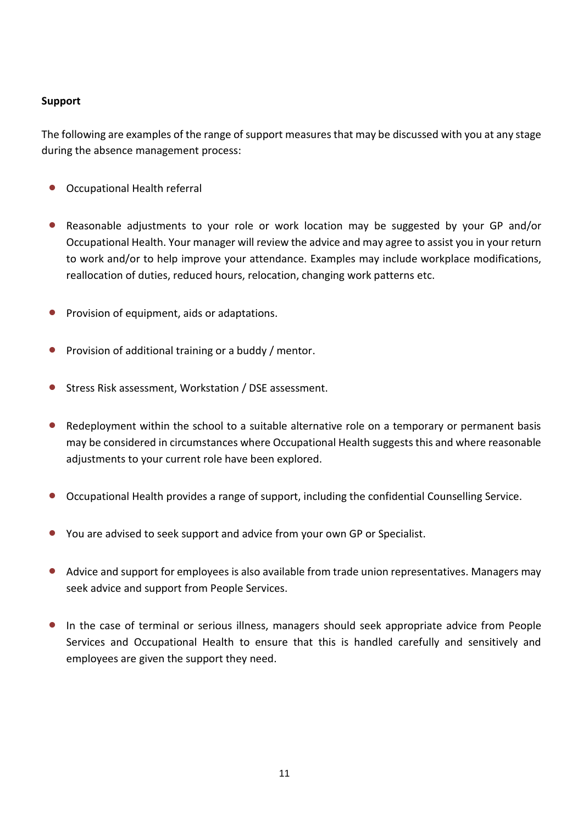#### <span id="page-10-0"></span>**Support**

The following are examples of the range of support measures that may be discussed with you at any stage during the absence management process:

- Occupational Health referral
- Reasonable adjustments to your role or work location may be suggested by your GP and/or Occupational Health. Your manager will review the advice and may agree to assist you in your return to work and/or to help improve your attendance. Examples may include workplace modifications, reallocation of duties, reduced hours, relocation, changing work patterns etc.
- **•** Provision of equipment, aids or adaptations.
- **•** Provision of additional training or a buddy / mentor.
- **•** Stress Risk assessment, Workstation / DSE assessment.
- Redeployment within the school to a suitable alternative role on a temporary or permanent basis may be considered in circumstances where Occupational Health suggests this and where reasonable adjustments to your current role have been explored.
- Occupational Health provides a range of support, including the confidential Counselling Service.
- You are advised to seek support and advice from your own GP or Specialist.
- Advice and support for employees is also available from trade union representatives. Managers may seek advice and support from People Services.
- In the case of terminal or serious illness, managers should seek appropriate advice from People Services and Occupational Health to ensure that this is handled carefully and sensitively and employees are given the support they need.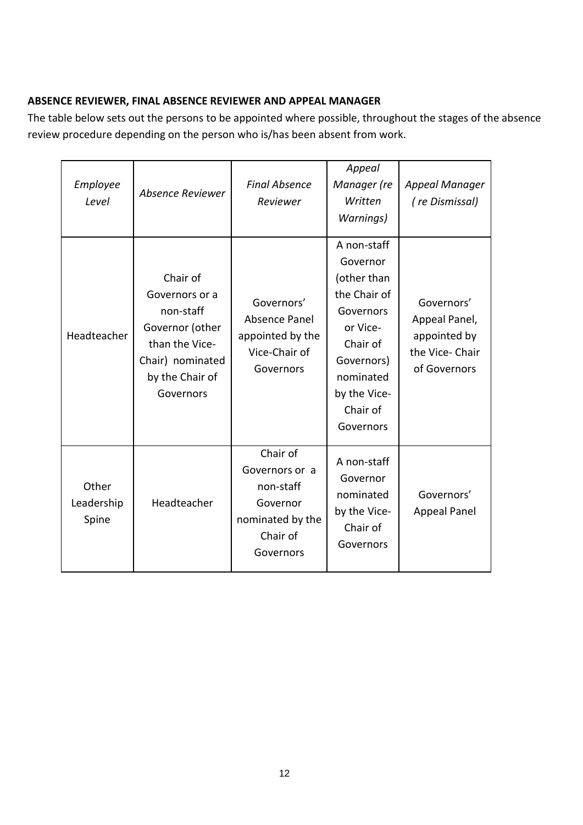### **ABSENCE REVIEWER, FINAL ABSENCE REVIEWER AND APPEAL MANAGER**

The table below sets out the persons to be appointed where possible, throughout the stages of the absence review procedure depending on the person who is/has been absent from work.

| Employee<br>Level            | <b>Absence Reviewer</b>                                                                                                          | <b>Final Absence</b><br>Reviewer                                                                 | Appeal<br>Manager (re<br>Written<br><b>Warnings)</b>                                                                                                            | Appeal Manager<br>(re Dismissal)                                              |
|------------------------------|----------------------------------------------------------------------------------------------------------------------------------|--------------------------------------------------------------------------------------------------|-----------------------------------------------------------------------------------------------------------------------------------------------------------------|-------------------------------------------------------------------------------|
| Headteacher                  | Chair of<br>Governors or a<br>non-staff<br>Governor (other<br>than the Vice-<br>Chair) nominated<br>by the Chair of<br>Governors | Governors'<br>Absence Panel<br>appointed by the<br>Vice-Chair of<br>Governors                    | A non-staff<br>Governor<br>(other than<br>the Chair of<br>Governors<br>or Vice-<br>Chair of<br>Governors)<br>nominated<br>by the Vice-<br>Chair of<br>Governors | Governors'<br>Appeal Panel,<br>appointed by<br>the Vice-Chair<br>of Governors |
| Other<br>Leadership<br>Spine | Headteacher                                                                                                                      | Chair of<br>Governors or a<br>non-staff<br>Governor<br>nominated by the<br>Chair of<br>Governors | A non-staff<br>Governor<br>nominated<br>by the Vice-<br>Chair of<br>Governors                                                                                   | Governors'<br><b>Appeal Panel</b>                                             |